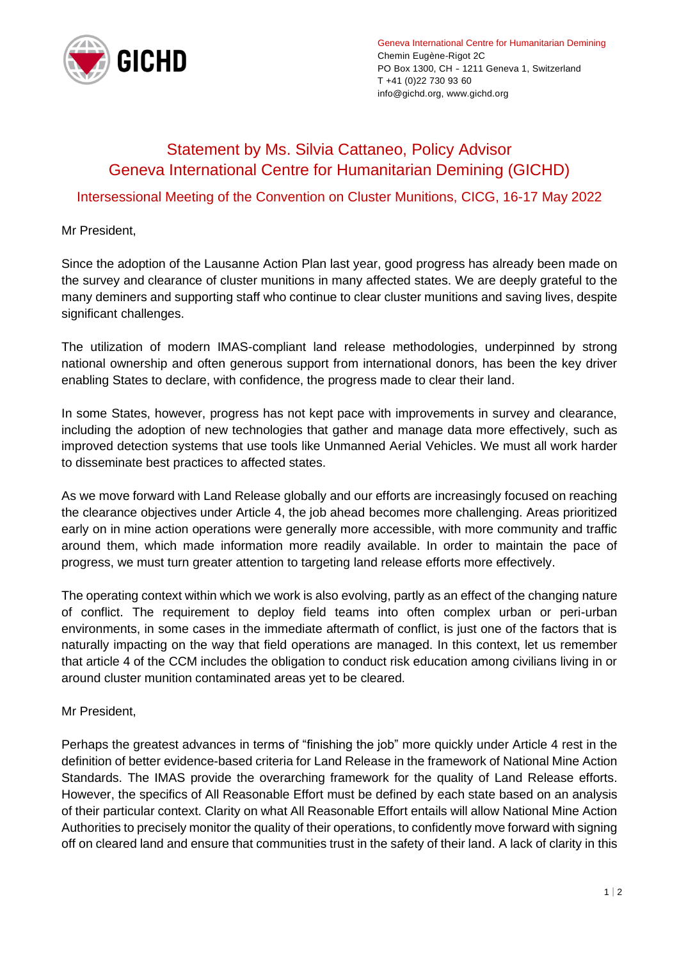

## Statement by Ms. Silvia Cattaneo, Policy Advisor Geneva International Centre for Humanitarian Demining (GICHD)

## Intersessional Meeting of the Convention on Cluster Munitions, CICG, 16-17 May 2022

Mr President,

Since the adoption of the Lausanne Action Plan last year, good progress has already been made on the survey and clearance of cluster munitions in many affected states. We are deeply grateful to the many deminers and supporting staff who continue to clear cluster munitions and saving lives, despite significant challenges.

The utilization of modern IMAS-compliant land release methodologies, underpinned by strong national ownership and often generous support from international donors, has been the key driver enabling States to declare, with confidence, the progress made to clear their land.

In some States, however, progress has not kept pace with improvements in survey and clearance, including the adoption of new technologies that gather and manage data more effectively, such as improved detection systems that use tools like Unmanned Aerial Vehicles. We must all work harder to disseminate best practices to affected states.

As we move forward with Land Release globally and our efforts are increasingly focused on reaching the clearance objectives under Article 4, the job ahead becomes more challenging. Areas prioritized early on in mine action operations were generally more accessible, with more community and traffic around them, which made information more readily available. In order to maintain the pace of progress, we must turn greater attention to targeting land release efforts more effectively.

The operating context within which we work is also evolving, partly as an effect of the changing nature of conflict. The requirement to deploy field teams into often complex urban or peri-urban environments, in some cases in the immediate aftermath of conflict, is just one of the factors that is naturally impacting on the way that field operations are managed. In this context, let us remember that article 4 of the CCM includes the obligation to conduct risk education among civilians living in or around cluster munition contaminated areas yet to be cleared.

Mr President,

Perhaps the greatest advances in terms of "finishing the job" more quickly under Article 4 rest in the definition of better evidence-based criteria for Land Release in the framework of National Mine Action Standards. The IMAS provide the overarching framework for the quality of Land Release efforts. However, the specifics of All Reasonable Effort must be defined by each state based on an analysis of their particular context. Clarity on what All Reasonable Effort entails will allow National Mine Action Authorities to precisely monitor the quality of their operations, to confidently move forward with signing off on cleared land and ensure that communities trust in the safety of their land. A lack of clarity in this